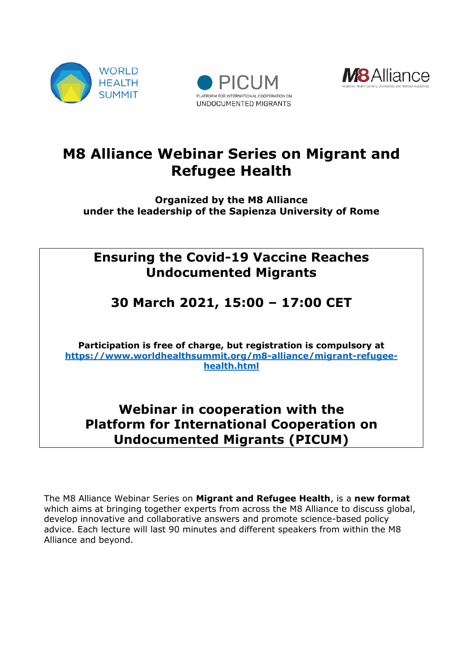





# **M8 Alliance Webinar Series on Migrant and Refugee Health**

**Organized by the M8 Alliance under the leadership of the Sapienza University of Rome**

## **Ensuring the Covid-19 Vaccine Reaches Undocumented Migrants**

## **30 March 2021, 15:00 – 17:00 CET**

**Participation is free of charge, but registration is compulsory at [https://www.worldhealthsummit.org/m8-alliance/migrant-refugee](https://www.worldhealthsummit.org/m8-alliance/migrant-refugee-health.html)[health.html](https://www.worldhealthsummit.org/m8-alliance/migrant-refugee-health.html)**

## **Webinar in cooperation with the Platform for International Cooperation on Undocumented Migrants (PICUM)**

The M8 Alliance Webinar Series on **Migrant and Refugee Health**, is a **new format**  which aims at bringing together experts from across the M8 Alliance to discuss global, develop innovative and collaborative answers and promote science-based policy advice. Each lecture will last 90 minutes and different speakers from within the M8 Alliance and beyond.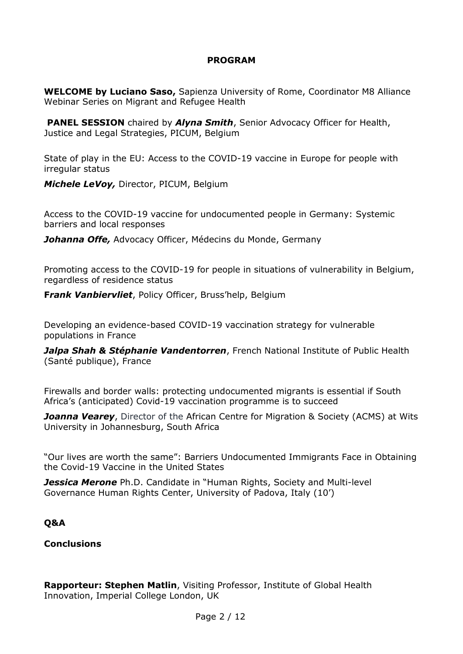#### **PROGRAM**

**WELCOME by Luciano Saso,** Sapienza University of Rome, Coordinator M8 Alliance Webinar Series on Migrant and Refugee Health

**PANEL SESSION** chaired by *Alyna Smith*, Senior Advocacy Officer for Health, Justice and Legal Strategies, PICUM, Belgium

State of play in the EU: Access to the COVID-19 vaccine in Europe for people with irregular status

*Michele LeVoy,* Director, PICUM, Belgium

Access to the COVID-19 vaccine for undocumented people in Germany: Systemic barriers and local responses

*Johanna Offe,* Advocacy Officer, Médecins du Monde, Germany

Promoting access to the COVID-19 for people in situations of vulnerability in Belgium, regardless of residence status

**F***rank Vanbiervliet*, Policy Officer, Bruss'help, Belgium

Developing an evidence-based COVID-19 vaccination strategy for vulnerable populations in France

*Jalpa Shah & Stéphanie Vandentorren*, French National Institute of Public Health (Santé publique), France

Firewalls and border walls: protecting undocumented migrants is essential if South Africa's (anticipated) Covid-19 vaccination programme is to succeed

**Joanna Vearey**, Director of the African Centre for Migration & Society (ACMS) at Wits University in Johannesburg, South Africa

"Our lives are worth the same": Barriers Undocumented Immigrants Face in Obtaining the Covid-19 Vaccine in the United States

**Jessica Merone** Ph.D. Candidate in "Human Rights, Society and Multi-level Governance Human Rights Center, University of Padova, Italy (10')

#### **Q&A**

#### **Conclusions**

**Rapporteur: Stephen Matlin**, Visiting Professor, Institute of Global Health Innovation, Imperial College London, UK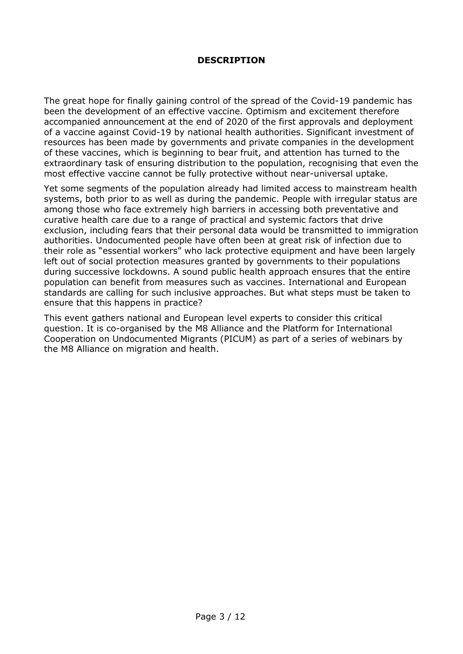#### **DESCRIPTION**

The great hope for finally gaining control of the spread of the Covid-19 pandemic has been the development of an effective vaccine. Optimism and excitement therefore accompanied announcement at the end of 2020 of the first approvals and deployment of a vaccine against Covid-19 by national health authorities. Significant investment of resources has been made by governments and private companies in the development of these vaccines, which is beginning to bear fruit, and attention has turned to the extraordinary task of ensuring distribution to the population, recognising that even the most effective vaccine cannot be fully protective without near-universal uptake.

Yet some segments of the population already had limited access to mainstream health systems, both prior to as well as during the pandemic. People with irregular status are among those who face extremely high barriers in accessing both preventative and curative health care due to a range of practical and systemic factors that drive exclusion, including fears that their personal data would be transmitted to immigration authorities. Undocumented people have often been at great risk of infection due to their role as "essential workers" who lack protective equipment and have been largely left out of social protection measures granted by governments to their populations during successive lockdowns. A sound public health approach ensures that the entire population can benefit from measures such as vaccines. International and European standards are calling for such inclusive approaches. But what steps must be taken to ensure that this happens in practice?

This event gathers national and European level experts to consider this critical question. It is co-organised by the M8 Alliance and the Platform for International Cooperation on Undocumented Migrants (PICUM) as part of a series of webinars by the M8 Alliance on migration and health.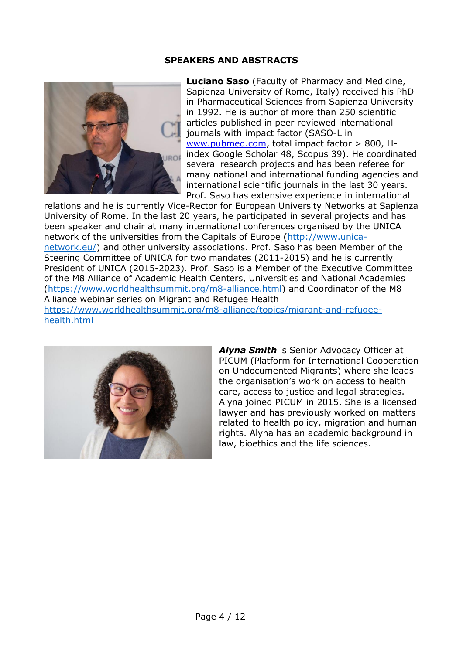#### **SPEAKERS AND ABSTRACTS**



**Luciano Saso** (Faculty of Pharmacy and Medicine, Sapienza University of Rome, Italy) received his PhD in Pharmaceutical Sciences from Sapienza University in 1992. He is author of more than 250 scientific articles published in peer reviewed international journals with impact factor (SASO-L in [www.pubmed.com,](http://www.pubmed.com/) total impact factor > 800, Hindex Google Scholar 48, Scopus 39). He coordinated several research projects and has been referee for many national and international funding agencies and international scientific journals in the last 30 years. Prof. Saso has extensive experience in international

relations and he is currently Vice-Rector for European University Networks at Sapienza University of Rome. In the last 20 years, he participated in several projects and has been speaker and chair at many international conferences organised by the UNICA network of the universities from the Capitals of Europe [\(http://www.unica](http://www.unica-network.eu/)[network.eu/\)](http://www.unica-network.eu/) and other university associations. Prof. Saso has been Member of the Steering Committee of UNICA for two mandates (2011-2015) and he is currently President of UNICA (2015-2023). Prof. Saso is a Member of the Executive Committee of the M8 Alliance of Academic Health Centers, Universities and National Academies [\(https://www.worldhealthsummit.org/m8-alliance.html\)](https://www.worldhealthsummit.org/m8-alliance.html) and Coordinator of the M8 Alliance webinar series on Migrant and Refugee Health [https://www.worldhealthsummit.org/m8-alliance/topics/migrant-and-refugee](https://www.worldhealthsummit.org/m8-alliance/topics/migrant-and-refugee-health.html)[health.html](https://www.worldhealthsummit.org/m8-alliance/topics/migrant-and-refugee-health.html)



*Alyna Smith* is Senior Advocacy Officer at PICUM (Platform for International Cooperation on Undocumented Migrants) where she leads the organisation's work on access to health care, access to justice and legal strategies. Alyna joined PICUM in 2015. She is a licensed lawyer and has previously worked on matters related to health policy, migration and human rights. Alyna has an academic background in law, bioethics and the life sciences.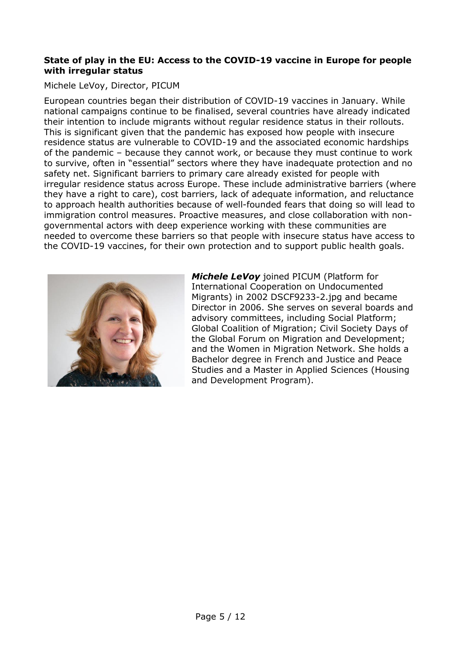#### **State of play in the EU: Access to the COVID-19 vaccine in Europe for people with irregular status**

#### Michele LeVoy, Director, PICUM

European countries began their distribution of COVID-19 vaccines in January. While national campaigns continue to be finalised, several countries have already indicated their intention to include migrants without regular residence status in their rollouts. This is significant given that the pandemic has exposed how people with insecure residence status are vulnerable to COVID-19 and the associated economic hardships of the pandemic – because they cannot work, or because they must continue to work to survive, often in "essential" sectors where they have inadequate protection and no safety net. Significant barriers to primary care already existed for people with irregular residence status across Europe. These include administrative barriers (where they have a right to care), cost barriers, lack of adequate information, and reluctance to approach health authorities because of well-founded fears that doing so will lead to immigration control measures. Proactive measures, and close collaboration with nongovernmental actors with deep experience working with these communities are needed to overcome these barriers so that people with insecure status have access to the COVID-19 vaccines, for their own protection and to support public health goals.



*Michele LeVoy* joined PICUM (Platform for International Cooperation on Undocumented Migrants) in 2002 DSCF9233-2.jpg and became Director in 2006. She serves on several boards and advisory committees, including Social Platform; Global Coalition of Migration; Civil Society Days of the Global Forum on Migration and Development; and the Women in Migration Network. She holds a Bachelor degree in French and Justice and Peace Studies and a Master in Applied Sciences (Housing and Development Program).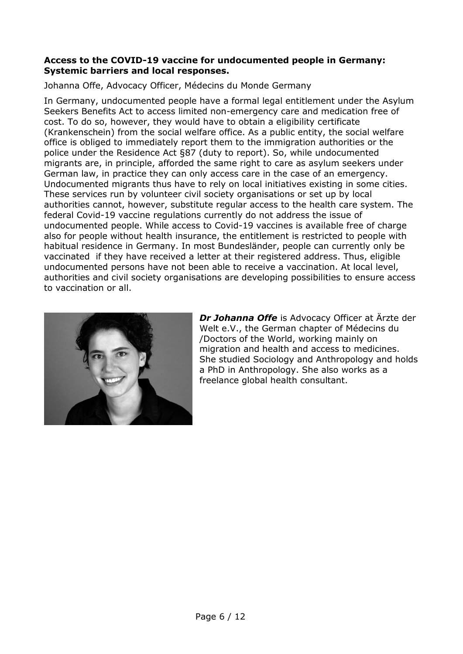#### **Access to the COVID-19 vaccine for undocumented people in Germany: Systemic barriers and local responses.**

Johanna Offe, Advocacy Officer, Médecins du Monde Germany

In Germany, undocumented people have a formal legal entitlement under the Asylum Seekers Benefits Act to access limited non-emergency care and medication free of cost. To do so, however, they would have to obtain a eligibility certificate (Krankenschein) from the social welfare office. As a public entity, the social welfare office is obliged to immediately report them to the immigration authorities or the police under the Residence Act §87 (duty to report). So, while undocumented migrants are, in principle, afforded the same right to care as asylum seekers under German law, in practice they can only access care in the case of an emergency. Undocumented migrants thus have to rely on local initiatives existing in some cities. These services run by volunteer civil society organisations or set up by local authorities cannot, however, substitute regular access to the health care system. The federal Covid-19 vaccine regulations currently do not address the issue of undocumented people. While access to Covid-19 vaccines is available free of charge also for people without health insurance, the entitlement is restricted to people with habitual residence in Germany. In most Bundesländer, people can currently only be vaccinated if they have received a letter at their registered address. Thus, eligible undocumented persons have not been able to receive a vaccination. At local level, authorities and civil society organisations are developing possibilities to ensure access to vaccination or all.



*Dr Johanna Offe* is Advocacy Officer at Ärzte der Welt e.V., the German chapter of Médecins du /Doctors of the World, working mainly on migration and health and access to medicines. She studied Sociology and Anthropology and holds a PhD in Anthropology. She also works as a freelance global health consultant.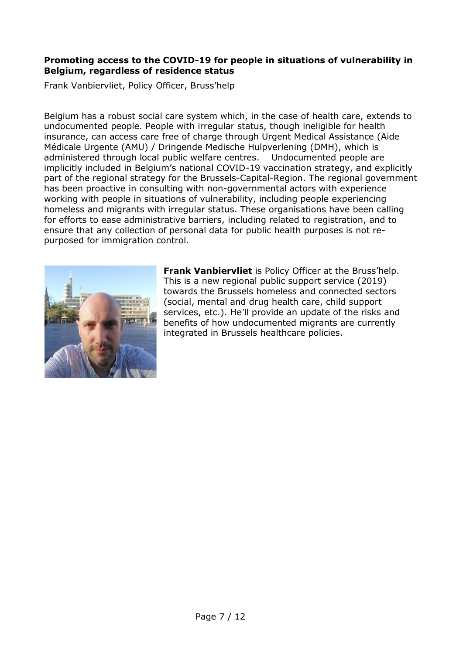#### **Promoting access to the COVID-19 for people in situations of vulnerability in Belgium, regardless of residence status**

Frank Vanbiervliet, Policy Officer, Bruss'help

Belgium has a robust social care system which, in the case of health care, extends to undocumented people. People with irregular status, though ineligible for health insurance, can access care free of charge through Urgent Medical Assistance (Aide Médicale Urgente (AMU) / Dringende Medische Hulpverlening (DMH), which is administered through local public welfare centres. Undocumented people are implicitly included in Belgium's national COVID-19 vaccination strategy, and explicitly part of the regional strategy for the Brussels-Capital-Region. The regional government has been proactive in consulting with non-governmental actors with experience working with people in situations of vulnerability, including people experiencing homeless and migrants with irregular status. These organisations have been calling for efforts to ease administrative barriers, including related to registration, and to ensure that any collection of personal data for public health purposes is not repurposed for immigration control.



**Frank Vanbiervliet** is Policy Officer at the Bruss'help. This is a new regional public support service (2019) towards the Brussels homeless and connected sectors (social, mental and drug health care, child support services, etc.). He'll provide an update of the risks and benefits of how undocumented migrants are currently integrated in Brussels healthcare policies.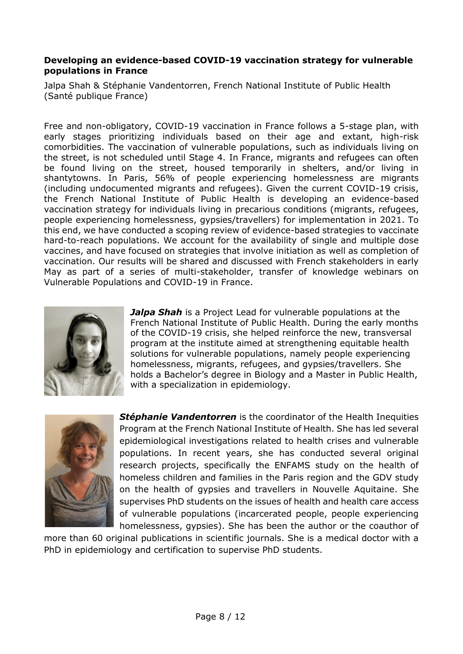#### **Developing an evidence-based COVID-19 vaccination strategy for vulnerable populations in France**

Jalpa Shah & Stéphanie Vandentorren, French National Institute of Public Health (Santé publique France)

Free and non-obligatory, COVID-19 vaccination in France follows a 5-stage plan, with early stages prioritizing individuals based on their age and extant, high-risk comorbidities. The vaccination of vulnerable populations, such as individuals living on the street, is not scheduled until Stage 4. In France, migrants and refugees can often be found living on the street, housed temporarily in shelters, and/or living in shantytowns. In Paris, 56% of people experiencing homelessness are migrants (including undocumented migrants and refugees). Given the current COVID-19 crisis, the French National Institute of Public Health is developing an evidence-based vaccination strategy for individuals living in precarious conditions (migrants, refugees, people experiencing homelessness, gypsies/travellers) for implementation in 2021. To this end, we have conducted a scoping review of evidence-based strategies to vaccinate hard-to-reach populations. We account for the availability of single and multiple dose vaccines, and have focused on strategies that involve initiation as well as completion of vaccination. Our results will be shared and discussed with French stakeholders in early May as part of a series of multi-stakeholder, transfer of knowledge webinars on Vulnerable Populations and COVID-19 in France.



*Jalpa Shah* is a Project Lead for vulnerable populations at the French National Institute of Public Health. During the early months of the COVID-19 crisis, she helped reinforce the new, transversal program at the institute aimed at strengthening equitable health solutions for vulnerable populations, namely people experiencing homelessness, migrants, refugees, and gypsies/travellers. She holds a Bachelor's degree in Biology and a Master in Public Health, with a specialization in epidemiology.



**Stéphanie Vandentorren** is the coordinator of the Health Inequities Program at the French National Institute of Health. She has led several epidemiological investigations related to health crises and vulnerable populations. In recent years, she has conducted several original research projects, specifically the ENFAMS study on the health of homeless children and families in the Paris region and the GDV study on the health of gypsies and travellers in Nouvelle Aquitaine. She supervises PhD students on the issues of health and health care access of vulnerable populations (incarcerated people, people experiencing homelessness, gypsies). She has been the author or the coauthor of

more than 60 original publications in scientific journals. She is a medical doctor with a PhD in epidemiology and certification to supervise PhD students.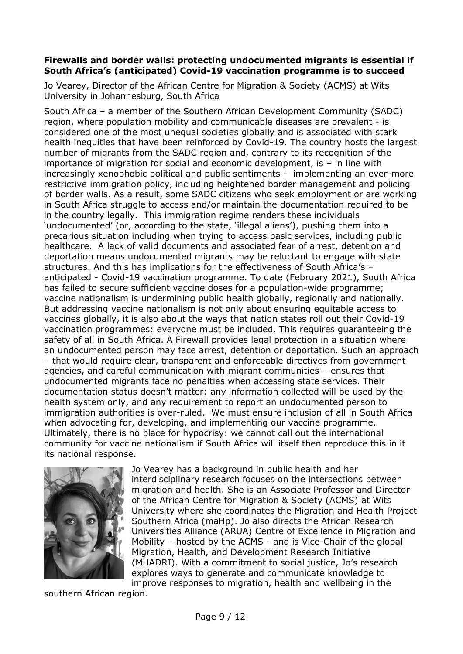#### **Firewalls and border walls: protecting undocumented migrants is essential if South Africa's (anticipated) Covid-19 vaccination programme is to succeed**

[Jo Vearey,](https://migrationhealthresearch.org/) Director of the African Centre for Migration & Society (ACMS) at Wits University in Johannesburg, South Africa

South Africa – a member of the Southern African Development Community (SADC) region, where population mobility and communicable diseases are prevalent - is considered one of the most unequal societies globally and is associated with stark health inequities that have been reinforced by Covid-19. The country hosts the largest number of migrants from the SADC region and, contrary to its recognition of the importance of migration for social and economic development, is – in line with increasingly xenophobic political and public sentiments - implementing an ever-more restrictive immigration policy, including heightened border management and policing of border walls. As a result, some SADC citizens who seek employment or are working in South Africa struggle to access and/or maintain the documentation required to be in the country legally. This immigration regime renders these individuals 'undocumented' (or, according to the state, 'illegal aliens'), pushing them into a precarious situation including when trying to access basic services, including public healthcare. A lack of valid documents and associated fear of arrest, detention and deportation means undocumented migrants may be reluctant to engage with state structures. And this has implications for the effectiveness of South Africa's – anticipated - Covid-19 vaccination programme. To date (February 2021), South Africa has failed to secure sufficient vaccine doses for a population-wide programme; vaccine nationalism is undermining public health globally, regionally and nationally. But addressing vaccine nationalism is not only about ensuring equitable access to vaccines globally, it is also about the ways that nation states roll out their Covid-19 vaccination programmes: everyone must be included. This requires guaranteeing the safety of all in South Africa. A Firewall provides legal protection in a situation where an undocumented person may face arrest, detention or deportation. Such an approach – that would require clear, transparent and enforceable directives from government agencies, and careful communication with migrant communities – ensures that undocumented migrants face no penalties when accessing state services. Their documentation status doesn't matter: any information collected will be used by the health system only, and any requirement to report an undocumented person to immigration authorities is over-ruled. We must ensure inclusion of all in South Africa when advocating for, developing, and implementing our vaccine programme. Ultimately, there is no place for hypocrisy: we cannot call out the international community for vaccine nationalism if South Africa will itself then reproduce this in it its national response.



Jo Vearey has a background in public health and her interdisciplinary research focuses on the intersections between migration and health. She is an Associate Professor and Director of the African Centre for Migration & Society (ACMS) at Wits University where she coordinates the Migration and Health Project Southern Africa (maHp). Jo also directs the African Research Universities Alliance (ARUA) Centre of Excellence in Migration and Mobility – hosted by the ACMS - and is Vice-Chair of the global Migration, Health, and Development Research Initiative (MHADRI). With a commitment to social justice, Jo's research explores ways to generate and communicate knowledge to improve responses to migration, health and wellbeing in the

southern African region.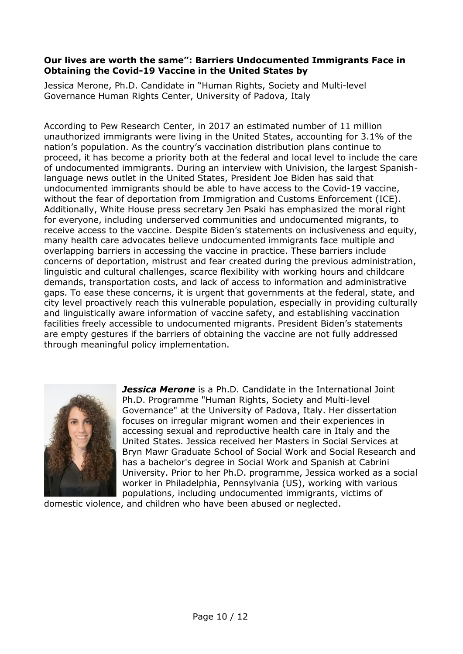#### **Our lives are worth the same": Barriers Undocumented Immigrants Face in Obtaining the Covid-19 Vaccine in the United States by**

Jessica Merone, Ph.D. Candidate in "Human Rights, Society and Multi-level Governance Human Rights Center, University of Padova, Italy

According to Pew Research Center, in 2017 an estimated number of 11 million unauthorized immigrants were living in the United States, accounting for 3.1% of the nation's population. As the country's vaccination distribution plans continue to proceed, it has become a priority both at the federal and local level to include the care of undocumented immigrants. During an interview with Univision, the largest Spanishlanguage news outlet in the United States, President Joe Biden has said that undocumented immigrants should be able to have access to the Covid-19 vaccine, without the fear of deportation from Immigration and Customs Enforcement (ICE). Additionally, White House press secretary Jen Psaki has emphasized the moral right for everyone, including underserved communities and undocumented migrants, to receive access to the vaccine. Despite Biden's statements on inclusiveness and equity, many health care advocates believe undocumented immigrants face multiple and overlapping barriers in accessing the vaccine in practice. These barriers include concerns of deportation, mistrust and fear created during the previous administration, linguistic and cultural challenges, scarce flexibility with working hours and childcare demands, transportation costs, and lack of access to information and administrative gaps. To ease these concerns, it is urgent that governments at the federal, state, and city level proactively reach this vulnerable population, especially in providing culturally and linguistically aware information of vaccine safety, and establishing vaccination facilities freely accessible to undocumented migrants. President Biden's statements are empty gestures if the barriers of obtaining the vaccine are not fully addressed through meaningful policy implementation.



*Jessica Merone* is a Ph.D. Candidate in the International Joint Ph.D. Programme "Human Rights, Society and Multi-level Governance" at the University of Padova, Italy. Her dissertation focuses on irregular migrant women and their experiences in accessing sexual and reproductive health care in Italy and the United States. Jessica received her Masters in Social Services at Bryn Mawr Graduate School of Social Work and Social Research and has a bachelor's degree in Social Work and Spanish at Cabrini University. Prior to her Ph.D. programme, Jessica worked as a social worker in Philadelphia, Pennsylvania (US), working with various populations, including undocumented immigrants, victims of

domestic violence, and children who have been abused or neglected.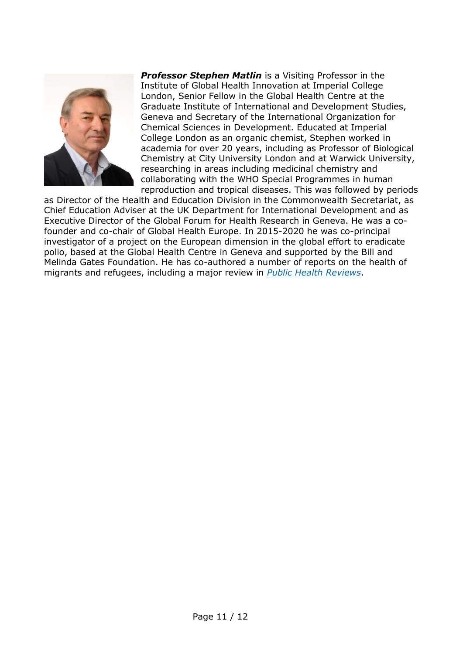

*Professor Stephen Matlin* is a Visiting Professor in the Institute of Global Health Innovation at Imperial College London, Senior Fellow in the Global Health Centre at the Graduate Institute of International and Development Studies, Geneva and Secretary of the International Organization for Chemical Sciences in Development. Educated at Imperial College London as an organic chemist, Stephen worked in academia for over 20 years, including as Professor of Biological Chemistry at City University London and at Warwick University, researching in areas including medicinal chemistry and collaborating with the WHO Special Programmes in human reproduction and tropical diseases. This was followed by periods

as Director of the Health and Education Division in the Commonwealth Secretariat, as Chief Education Adviser at the UK Department for International Development and as Executive Director of the Global Forum for Health Research in Geneva. He was a cofounder and co-chair of Global Health Europe. In 2015-2020 he was co-principal investigator of a project on the European dimension in the global effort to eradicate polio, based at the Global Health Centre in Geneva and supported by the Bill and Melinda Gates Foundation. He has co-authored a number of reports on the health of migrants and refugees, including a major review in *[Public Health Reviews](https://doi.org/10.1186/s40985-018-0104-9)*.